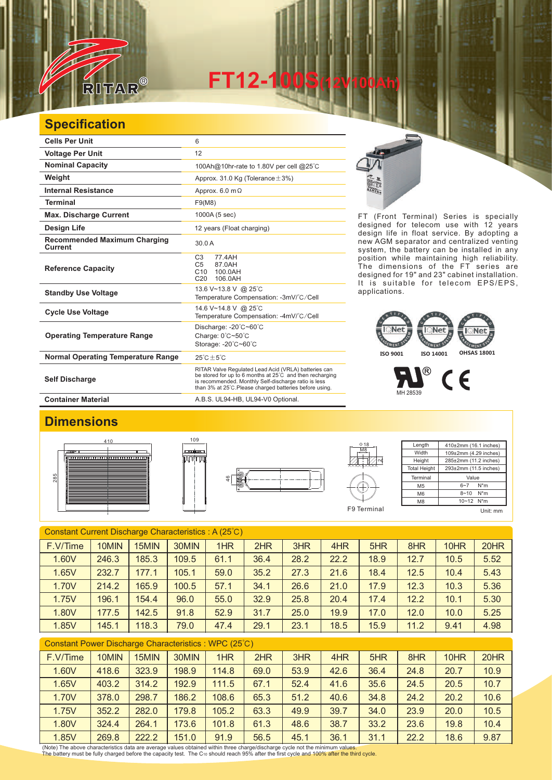

**FT12-100S(12V100Ah)** 

## **Specification**

| <b>Cells Per Unit</b>                          | 6                                                                                                                                                                                                                                   |
|------------------------------------------------|-------------------------------------------------------------------------------------------------------------------------------------------------------------------------------------------------------------------------------------|
| <b>Voltage Per Unit</b>                        | 12                                                                                                                                                                                                                                  |
| <b>Nominal Capacity</b>                        | 100Ah@10hr-rate to 1.80V per cell @25°C                                                                                                                                                                                             |
| Weight                                         | Approx. 31.0 Kg (Tolerance $\pm$ 3%)                                                                                                                                                                                                |
| <b>Internal Resistance</b>                     | Approx. $6.0 \text{ m}\Omega$                                                                                                                                                                                                       |
| <b>Terminal</b>                                | F9(M8)                                                                                                                                                                                                                              |
| <b>Max. Discharge Current</b>                  | 1000A (5 sec)                                                                                                                                                                                                                       |
| Design Life                                    | 12 years (Float charging)                                                                                                                                                                                                           |
| <b>Recommended Maximum Charging</b><br>Current | 30.0 A                                                                                                                                                                                                                              |
| <b>Reference Capacity</b>                      | C <sub>3</sub><br>77.4AH<br>C <sub>5</sub><br>87.0AH<br>C10<br>100.0AH<br>C <sub>20</sub><br>106.0AH                                                                                                                                |
| <b>Standby Use Voltage</b>                     | 13.6 V~13.8 V @ 25°C<br>Temperature Compensation: -3mV/°C/Cell                                                                                                                                                                      |
| <b>Cycle Use Voltage</b>                       | 14.6 V~14.8 V @ 25°C<br>Temperature Compensation: -4mV/°C/Cell                                                                                                                                                                      |
| <b>Operating Temperature Range</b>             | Discharge: -20°C~60°C<br>Charge: $0^{\circ}$ C $\sim$ 50 $^{\circ}$ C<br>Storage: -20°C~60°C                                                                                                                                        |
| <b>Normal Operating Temperature Range</b>      | $25^{\circ}$ C + 5 $^{\circ}$ C                                                                                                                                                                                                     |
| <b>Self Discharge</b>                          | RITAR Valve Regulated Lead Acid (VRLA) batteries can<br>be stored for up to 6 months at 25°C and then recharging<br>is recommended. Monthly Self-discharge ratio is less<br>than 3% at 25°C. Please charged batteries before using. |
| <b>Container Material</b>                      | A.B.S. UL94-HB, UL94-V0 Optional.                                                                                                                                                                                                   |



FT (Front Terminal) Series is specially designed for telecom use with 12 years design life in float service. By adopting a new AGM separator and centralized venting system, the battery can be installed in any position while maintaining high reliability. The dimensions of the FT series are designed for 19" and 23" cabinet installation. It is suitable for telecom EPS/EPS, applications.

**ISO 9001 ISO 14001 OHSAS 18001**

**Arcal** 

 $^{\circledR}$ 

MH 28539

**AFC NT** 

## **Dimensions**







| Length              | 410±2mm (16.1 inches) |  |  |  |  |  |
|---------------------|-----------------------|--|--|--|--|--|
| Width               | 109±2mm (4.29 inches) |  |  |  |  |  |
| Height              | 285±2mm (11.2 inches) |  |  |  |  |  |
| <b>Total Height</b> | 293±2mm (11.5 inches) |  |  |  |  |  |
| Terminal            | Value                 |  |  |  |  |  |
| M <sub>5</sub>      | $N^*m$<br>$6 - 7$     |  |  |  |  |  |
| M <sub>6</sub>      | $N^*m$<br>$8 - 10$    |  |  |  |  |  |
| M <sub>8</sub>      | 10~12 N*m             |  |  |  |  |  |
|                     |                       |  |  |  |  |  |

 $\epsilon$ 

| Constant Current Discharge Characteristics: A (25°C) |       |       |       |      |      |      |      |      |      |      |      |
|------------------------------------------------------|-------|-------|-------|------|------|------|------|------|------|------|------|
| F.V/Time                                             | 10MIN | 15MIN | 30MIN | 1HR  | 2HR  | 3HR  | 4HR  | 5HR  | 8HR  | 10HR | 20HR |
| 1.60V                                                | 246.3 | 185.3 | 109.5 | 61.1 | 36.4 | 28.2 | 22.2 | 18.9 | 12.7 | 10.5 | 5.52 |
| 1.65V                                                | 232.7 | 177.1 | 105.1 | 59.0 | 35.2 | 27.3 | 21.6 | 18.4 | 12.5 | 10.4 | 5.43 |
| 1.70V                                                | 214.2 | 165.9 | 100.5 | 57.1 | 34.1 | 26.6 | 21.0 | 17.9 | 12.3 | 10.3 | 5.36 |
| 1.75V                                                | 196.1 | 154.4 | 96.0  | 55.0 | 32.9 | 25.8 | 20.4 | 17.4 | 12.2 | 10.1 | 5.30 |
| 1.80V                                                | 177.5 | 142.5 | 91.8  | 52.9 | 31.7 | 25.0 | 19.9 | 17.0 | 12.0 | 10.0 | 5.25 |
| 1.85V                                                | 145.1 | 118.3 | 79.0  | 47.4 | 29.1 | 23.1 | 18.5 | 15.9 | 11.2 | 9.41 | 4.98 |
|                                                      |       |       |       |      |      |      |      |      |      |      |      |

| Constant Power Discharge Characteristics : WPC (25°C) |       |       |       |       |      |      |      |      |      |      |      |
|-------------------------------------------------------|-------|-------|-------|-------|------|------|------|------|------|------|------|
| F.V/Time                                              | 10MIN | 15MIN | 30MIN | 1HR   | 2HR  | 3HR  | 4HR  | 5HR  | 8HR  | 10HR | 20HR |
| 1.60V                                                 | 418.6 | 323.9 | 198.9 | 114.8 | 69.0 | 53.9 | 42.6 | 36.4 | 24.8 | 20.7 | 10.9 |
| 1.65V                                                 | 403.2 | 314.2 | 192.9 | 111.5 | 67.1 | 52.4 | 41.6 | 35.6 | 24.5 | 20.5 | 10.7 |
| 1.70V                                                 | 378.0 | 298.7 | 186.2 | 108.6 | 65.3 | 51.2 | 40.6 | 34.8 | 24.2 | 20.2 | 10.6 |
| 1.75V                                                 | 352.2 | 282.0 | 179.8 | 105.2 | 63.3 | 49.9 | 39.7 | 34.0 | 23.9 | 20.0 | 10.5 |
| 1.80V                                                 | 324.4 | 264.1 | 173.6 | 101.8 | 61.3 | 48.6 | 38.7 | 33.2 | 23.6 | 19.8 | 10.4 |
| 1.85V                                                 | 269.8 | 222.2 | 151.0 | 91.9  | 56.5 | 45.1 | 36.1 | 31.1 | 22.2 | 18.6 | 9.87 |

(Note) The above characteristics data are average values obtained within three charge/discharge cycle not the minimum values.<br>The battery must be fully charged before the capacity test. The Cю should reach 95% after the f